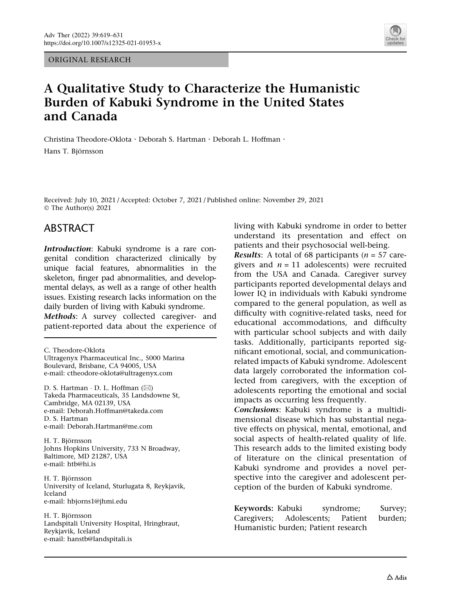ORIGINAL RESEARCH



# A Qualitative Study to Characterize the Humanistic Burden of Kabuki Syndrome in the United States and Canada

Christina Theodore-Oklota · Deborah S. Hartman · Deborah L. Hoffman · Hans T. Björnsson

Received: July 10, 2021 / Accepted: October 7, 2021 / Published online: November 29, 2021 © The Author(s) 2021

### ABSTRACT

Introduction: Kabuki syndrome is a rare congenital condition characterized clinically by unique facial features, abnormalities in the skeleton, finger pad abnormalities, and developmental delays, as well as a range of other health issues. Existing research lacks information on the daily burden of living with Kabuki syndrome. Methods: A survey collected caregiver- and patient-reported data about the experience of

C. Theodore-Oklota Ultragenyx Pharmaceutical Inc., 5000 Marina Boulevard, Brisbane, CA 94005, USA e-mail: ctheodore-oklota@ultragenyx.com

D. S. Hartman · D. L. Hoffman (⊠) Takeda Pharmaceuticals, 35 Landsdowne St, Cambridge, MA 02139, USA e-mail: Deborah.Hoffman@takeda.com D. S. Hartman e-mail: Deborah.Hartman@me.com

H. T. Björnsson Johns Hopkins University, 733 N Broadway, Baltimore, MD 21287, USA e-mail: htb@hi.is

H. T. Björnsson University of Iceland, Sturlugata 8, Reykjavik, Iceland e-mail: hbjorns1@jhmi.edu

H. T. Björnsson Landspitali University Hospital, Hringbraut, Reykjavik, Iceland e-mail: hanstb@landspitali.is

living with Kabuki syndrome in order to better understand its presentation and effect on patients and their psychosocial well-being. **Results:** A total of 68 participants ( $n = 57$  caregivers and  $n = 11$  adolescents) were recruited from the USA and Canada. Caregiver survey participants reported developmental delays and lower IQ in individuals with Kabuki syndrome compared to the general population, as well as difficulty with cognitive-related tasks, need for educational accommodations, and difficulty with particular school subjects and with daily tasks. Additionally, participants reported significant emotional, social, and communicationrelated impacts of Kabuki syndrome. Adolescent data largely corroborated the information collected from caregivers, with the exception of adolescents reporting the emotional and social impacts as occurring less frequently.

Conclusions: Kabuki syndrome is a multidimensional disease which has substantial negative effects on physical, mental, emotional, and social aspects of health-related quality of life. This research adds to the limited existing body of literature on the clinical presentation of Kabuki syndrome and provides a novel perspective into the caregiver and adolescent perception of the burden of Kabuki syndrome.

Keywords: Kabuki syndrome; Survey; Caregivers; Adolescents; Patient burden; Humanistic burden; Patient research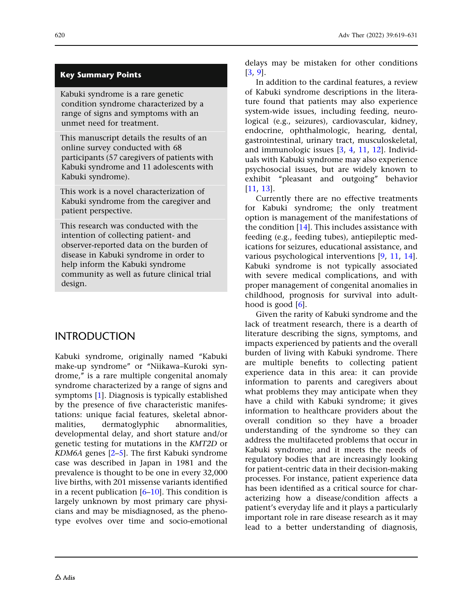### Key Summary Points

Kabuki syndrome is a rare genetic condition syndrome characterized by a range of signs and symptoms with an unmet need for treatment.

This manuscript details the results of an online survey conducted with 68 participants (57 caregivers of patients with Kabuki syndrome and 11 adolescents with Kabuki syndrome).

This work is a novel characterization of Kabuki syndrome from the caregiver and patient perspective.

This research was conducted with the intention of collecting patient- and observer-reported data on the burden of disease in Kabuki syndrome in order to help inform the Kabuki syndrome community as well as future clinical trial design.

INTRODUCTION

Kabuki syndrome, originally named ''Kabuki make-up syndrome'' or ''Niikawa–Kuroki syndrome," is a rare multiple congenital anomaly syndrome characterized by a range of signs and symptoms [\[1](#page-11-0)]. Diagnosis is typically established by the presence of five characteristic manifestations: unique facial features, skeletal abnormalities, dermatoglyphic abnormalities, developmental delay, and short stature and/or genetic testing for mutations in the KMT2D or KDM6A genes [[2](#page-11-0)–[5](#page-11-0)]. The first Kabuki syndrome case was described in Japan in 1981 and the prevalence is thought to be one in every 32,000 live births, with 201 missense variants identified in a recent publication  $[6–10]$  $[6–10]$  $[6–10]$  $[6–10]$ . This condition is largely unknown by most primary care physicians and may be misdiagnosed, as the phenotype evolves over time and socio-emotional

delays may be mistaken for other conditions [\[3](#page-11-0), [9](#page-11-0)].

In addition to the cardinal features, a review of Kabuki syndrome descriptions in the literature found that patients may also experience system-wide issues, including feeding, neurological (e.g., seizures), cardiovascular, kidney, endocrine, ophthalmologic, hearing, dental, gastrointestinal, urinary tract, musculoskeletal, and immunologic issues [\[3](#page-11-0), [4,](#page-11-0) [11](#page-12-0), [12](#page-12-0)]. Individuals with Kabuki syndrome may also experience psychosocial issues, but are widely known to exhibit ''pleasant and outgoing'' behavior [\[11,](#page-12-0) [13](#page-12-0)].

Currently there are no effective treatments for Kabuki syndrome; the only treatment option is management of the manifestations of the condition  $[14]$ . This includes assistance with feeding (e.g., feeding tubes), antiepileptic medications for seizures, educational assistance, and various psychological interventions [[9](#page-11-0), [11](#page-12-0), [14](#page-12-0)]. Kabuki syndrome is not typically associated with severe medical complications, and with proper management of congenital anomalies in childhood, prognosis for survival into adulthood is good  $[6]$ .

Given the rarity of Kabuki syndrome and the lack of treatment research, there is a dearth of literature describing the signs, symptoms, and impacts experienced by patients and the overall burden of living with Kabuki syndrome. There are multiple benefits to collecting patient experience data in this area: it can provide information to parents and caregivers about what problems they may anticipate when they have a child with Kabuki syndrome; it gives information to healthcare providers about the overall condition so they have a broader understanding of the syndrome so they can address the multifaceted problems that occur in Kabuki syndrome; and it meets the needs of regulatory bodies that are increasingly looking for patient-centric data in their decision-making processes. For instance, patient experience data has been identified as a critical source for characterizing how a disease/condition affects a patient's everyday life and it plays a particularly important role in rare disease research as it may lead to a better understanding of diagnosis,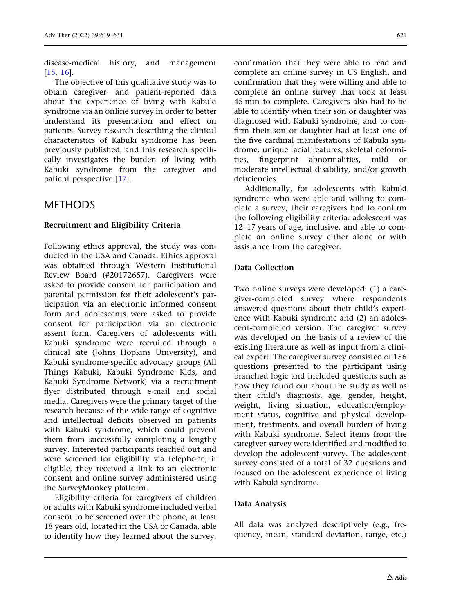disease-medical history, and management [\[15](#page-12-0), [16](#page-12-0)].

The objective of this qualitative study was to obtain caregiver- and patient-reported data about the experience of living with Kabuki syndrome via an online survey in order to better understand its presentation and effect on patients. Survey research describing the clinical characteristics of Kabuki syndrome has been previously published, and this research specifically investigates the burden of living with Kabuki syndrome from the caregiver and patient perspective [\[17\]](#page-12-0).

# **METHODS**

### Recruitment and Eligibility Criteria

Following ethics approval, the study was conducted in the USA and Canada. Ethics approval was obtained through Western Institutional Review Board (#20172657). Caregivers were asked to provide consent for participation and parental permission for their adolescent's participation via an electronic informed consent form and adolescents were asked to provide consent for participation via an electronic assent form. Caregivers of adolescents with Kabuki syndrome were recruited through a clinical site (Johns Hopkins University), and Kabuki syndrome-specific advocacy groups (All Things Kabuki, Kabuki Syndrome Kids, and Kabuki Syndrome Network) via a recruitment flyer distributed through e-mail and social media. Caregivers were the primary target of the research because of the wide range of cognitive and intellectual deficits observed in patients with Kabuki syndrome, which could prevent them from successfully completing a lengthy survey. Interested participants reached out and were screened for eligibility via telephone; if eligible, they received a link to an electronic consent and online survey administered using the SurveyMonkey platform.

Eligibility criteria for caregivers of children or adults with Kabuki syndrome included verbal consent to be screened over the phone, at least 18 years old, located in the USA or Canada, able to identify how they learned about the survey,

confirmation that they were able to read and complete an online survey in US English, and confirmation that they were willing and able to complete an online survey that took at least 45 min to complete. Caregivers also had to be able to identify when their son or daughter was diagnosed with Kabuki syndrome, and to confirm their son or daughter had at least one of the five cardinal manifestations of Kabuki syndrome: unique facial features, skeletal deformities, fingerprint abnormalities, mild or moderate intellectual disability, and/or growth deficiencies.

Additionally, for adolescents with Kabuki syndrome who were able and willing to complete a survey, their caregivers had to confirm the following eligibility criteria: adolescent was 12–17 years of age, inclusive, and able to complete an online survey either alone or with assistance from the caregiver.

### Data Collection

Two online surveys were developed: (1) a caregiver-completed survey where respondents answered questions about their child's experience with Kabuki syndrome and (2) an adolescent-completed version. The caregiver survey was developed on the basis of a review of the existing literature as well as input from a clinical expert. The caregiver survey consisted of 156 questions presented to the participant using branched logic and included questions such as how they found out about the study as well as their child's diagnosis, age, gender, height, weight, living situation, education/employment status, cognitive and physical development, treatments, and overall burden of living with Kabuki syndrome. Select items from the caregiver survey were identified and modified to develop the adolescent survey. The adolescent survey consisted of a total of 32 questions and focused on the adolescent experience of living with Kabuki syndrome.

### Data Analysis

All data was analyzed descriptively (e.g., frequency, mean, standard deviation, range, etc.)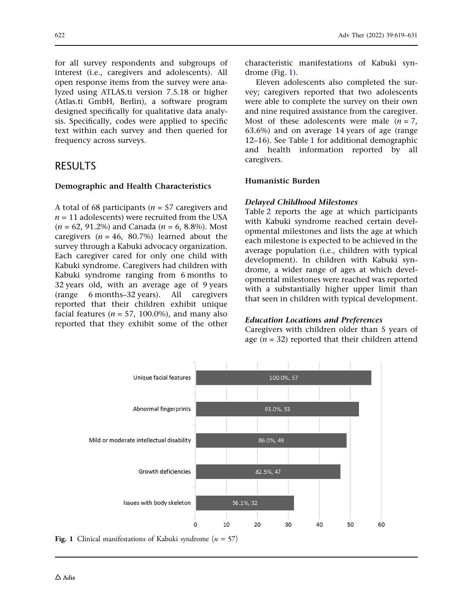for all survey respondents and subgroups of interest (i.e., caregivers and adolescents). All open response items from the survey were analyzed using ATLAS.ti version 7.5.18 or higher (Atlas.ti GmbH, Berlin), a software program designed specifically for qualitative data analysis. Specifically, codes were applied to specific text within each survey and then queried for frequency across surveys.

## RESULTS

#### Demographic and Health Characteristics

A total of 68 participants ( $n = 57$  caregivers and  $n = 11$  adolescents) were recruited from the USA  $(n = 62, 91.2\%)$  and Canada  $(n = 6, 8.8\%)$ . Most caregivers ( $n = 46$ , 80.7%) learned about the survey through a Kabuki advocacy organization. Each caregiver cared for only one child with Kabuki syndrome. Caregivers had children with Kabuki syndrome ranging from 6 months to 32 years old, with an average age of 9 years (range 6 months–32 years). All caregivers reported that their children exhibit unique facial features ( $n = 57$ , 100.0%), and many also reported that they exhibit some of the other characteristic manifestations of Kabuki syndrome (Fig. 1).

Eleven adolescents also completed the survey; caregivers reported that two adolescents were able to complete the survey on their own and nine required assistance from the caregiver. Most of these adolescents were male  $(n = 7)$ , 63.6%) and on average 14 years of age (range 12–16). See Table [1](#page-4-0) for additional demographic and health information reported by all caregivers.

### Humanistic Burden

#### Delayed Childhood Milestones

Table [2](#page-4-0) reports the age at which participants with Kabuki syndrome reached certain developmental milestones and lists the age at which each milestone is expected to be achieved in the average population (i.e., children with typical development). In children with Kabuki syndrome, a wider range of ages at which developmental milestones were reached was reported with a substantially higher upper limit than that seen in children with typical development.

#### Education Locations and Preferences

Caregivers with children older than 5 years of age  $(n = 32)$  reported that their children attend



**Fig. 1** Clinical manifestations of Kabuki syndrome ( $n = 57$ )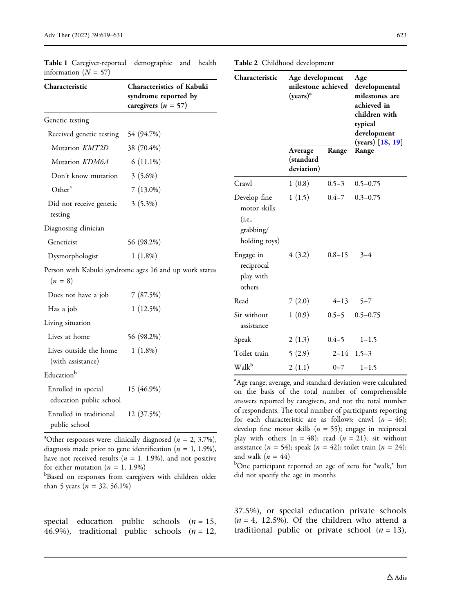| Characteristic                                 | Characteristics of Kabuki<br>syndrome reported by<br>caregivers $(n = 57)$ |
|------------------------------------------------|----------------------------------------------------------------------------|
| Genetic testing                                |                                                                            |
| Received genetic testing                       | 54 (94.7%)                                                                 |
| Mutation KMT2D                                 | 38 (70.4%)                                                                 |
| Mutation KDM6A                                 | $6(11.1\%)$                                                                |
| Don't know mutation                            | $3(5.6\%)$                                                                 |
| Other <sup>a</sup>                             | $7(13.0\%)$                                                                |
| Did not receive genetic<br>testing             | $3(5.3\%)$                                                                 |
| Diagnosing clinician                           |                                                                            |
| Geneticist                                     | 56 (98.2%)                                                                 |
| Dysmorphologist                                | $1(1.8\%)$                                                                 |
| $(n = 8)$                                      | Person with Kabuki syndrome ages 16 and up work status                     |
| Does not have a job                            | 7(87.5%)                                                                   |
| Has a job                                      | 1(12.5%)                                                                   |
| Living situation                               |                                                                            |
| Lives at home                                  | 56 (98.2%)                                                                 |
| Lives outside the home<br>(with assistance)    | $1(1.8\%)$                                                                 |
| Educationb                                     |                                                                            |
| Enrolled in special<br>education public school | 15 (46.9%)                                                                 |
| Enrolled in traditional<br>public school       | 12 (37.5%)                                                                 |

<span id="page-4-0"></span>Table 1 Caregiver-reported demographic and health information  $(N = 57)$ 

| <sup>a</sup> Other responses were: clinically diagnosed ( $n = 2, 3.7\%$ ), |
|-----------------------------------------------------------------------------|
| diagnosis made prior to gene identification ( $n = 1, 1.9\%$ ),             |
| have not received results ( $n = 1, 1.9\%$ ), and not positive              |
| for either mutation ( $n = 1, 1.9\%)$                                       |

**bBased on responses from caregivers with children older** than 5 years ( $n = 32, 56.1\%)$ 

| special education public schools $(n = 15)$ ,   |  |  |
|-------------------------------------------------|--|--|
| 46.9%), traditional public schools $(n = 12)$ , |  |  |

Table 2 Childhood development

| Characteristic                                                       | Age development<br>milestone achieved<br>$(years)^a$ |            | Age<br>developmental<br>milestones are<br>achieved in<br>children with<br>typical<br>development |  |
|----------------------------------------------------------------------|------------------------------------------------------|------------|--------------------------------------------------------------------------------------------------|--|
|                                                                      | Average<br>(standard<br>deviation)                   | Range      | (years) [18, 19]<br>Range                                                                        |  |
| Crawl                                                                | 1(0.8)                                               | $0.5 - 3$  | $0.5 - 0.75$                                                                                     |  |
| Develop fine<br>motor skills<br>(i.e.,<br>grabbing/<br>holding toys) | 1(1.5)                                               | $0.4 - 7$  | $0.3 - 0.75$                                                                                     |  |
| Engage in<br>reciprocal<br>play with<br>others                       | 4(3.2)                                               | $0.8 - 15$ | $3 - 4$                                                                                          |  |
| Read                                                                 | 7(2.0)                                               | $4 - 13$   | $5 - 7$                                                                                          |  |
| Sit without<br>assistance                                            | 1(0.9)                                               | $0.5 - 5$  | $0.5 - 0.75$                                                                                     |  |
| Speak                                                                | 2(1.3)                                               | $0.4 - 5$  | $1 - 1.5$                                                                                        |  |
| Toilet train                                                         | 5(2.9)                                               |            | $2-14$ 1.5-3                                                                                     |  |
| Walk <sup>b</sup>                                                    | 2(1.1)                                               | $0 - 7$    | $1 - 1.5$                                                                                        |  |

<sup>a</sup>Age range, average, and standard deviation were calculated on the basis of the total number of comprehensible answers reported by caregivers, and not the total number of respondents. The total number of participants reporting for each characteristic are as follows: crawl  $(n = 46)$ ; develop fine motor skills ( $n = 55$ ); engage in reciprocal play with others ( $n = 48$ ); read ( $n = 21$ ); sit without assistance ( $n = 54$ ); speak ( $n = 42$ ); toilet train ( $n = 24$ ); and walk  $(n = 44)$ 

<sup>b</sup>One participant reported an age of zero for "walk," but did not specify the age in months

37.5%), or special education private schools  $(n = 4, 12.5\%)$ . Of the children who attend a traditional public or private school  $(n = 13)$ ,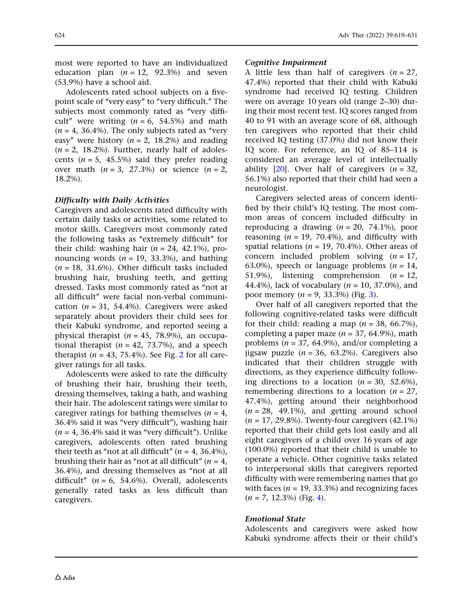most were reported to have an individualized education plan  $(n = 12, 92.3\%)$  and seven (53.9%) have a school aid.

Adolescents rated school subjects on a fivepoint scale of "very easy" to "very difficult." The subjects most commonly rated as "very difficult" were writing  $(n = 6, 54.5%)$  and math  $(n = 4, 36.4\%)$ . The only subjects rated as "very easy" were history ( $n = 2$ , 18.2%) and reading  $(n = 2, 18.2\%)$ . Further, nearly half of adolescents ( $n = 5$ , 45.5%) said they prefer reading over math  $(n = 3, 27.3%)$  or science  $(n = 2,$ 18.2%).

#### Difficulty with Daily Activities

Caregivers and adolescents rated difficulty with certain daily tasks or activities, some related to motor skills. Caregivers most commonly rated the following tasks as ''extremely difficult'' for their child: washing hair  $(n = 24, 42.1\%)$ , pronouncing words ( $n = 19$ , 33.3%), and bathing  $(n = 18, 31.6\%)$ . Other difficult tasks included brushing hair, brushing teeth, and getting dressed. Tasks most commonly rated as ''not at all difficult'' were facial non-verbal communication ( $n = 31$ , 54.4%). Caregivers were asked separately about providers their child sees for their Kabuki syndrome, and reported seeing a physical therapist ( $n = 45$ , 78.9%), an occupational therapist ( $n = 42, 73.7\%$ ), and a speech therapist ( $n = 43$ , 75.4%). See Fig. [2](#page-6-0) for all caregiver ratings for all tasks.

Adolescents were asked to rate the difficulty of brushing their hair, brushing their teeth, dressing themselves, taking a bath, and washing their hair. The adolescent ratings were similar to caregiver ratings for bathing themselves  $(n = 4)$ , 36.4% said it was ''very difficult''), washing hair  $(n = 4, 36.4\%$  said it was "very difficult"). Unlike caregivers, adolescents often rated brushing their teeth as "not at all difficult" ( $n = 4, 36.4\%$ ), brushing their hair as "not at all difficult" ( $n = 4$ , 36.4%), and dressing themselves as ''not at all difficult"  $(n = 6, 54.6\%)$ . Overall, adolescents generally rated tasks as less difficult than caregivers.

#### Cognitive Impairment

A little less than half of caregivers  $(n = 27)$ , 47.4%) reported that their child with Kabuki syndrome had received IQ testing. Children were on average 10 years old (range 2–30) during their most recent test. IQ scores ranged from 40 to 91 with an average score of 68, although ten caregivers who reported that their child received IQ testing (37.0%) did not know their IQ score. For reference, an IQ of 85–114 is considered an average level of intellectually ability [[20](#page-12-0)]. Over half of caregivers  $(n = 32)$ , 56.1%) also reported that their child had seen a neurologist.

Caregivers selected areas of concern identified by their child's IQ testing. The most common areas of concern included difficulty in reproducing a drawing  $(n = 20, 74.1\%)$ , poor reasoning ( $n = 19$ , 70.4%), and difficulty with spatial relations ( $n = 19$ , 70.4%). Other areas of concern included problem solving  $(n = 17)$ , 63.0%), speech or language problems  $(n = 14)$ , 51.9%), listening comprehension  $(n = 12)$ , 44.4%), lack of vocabulary ( $n = 10, 37.0$ %), and poor memory  $(n = 9, 33.3%)$  (Fig. [3\)](#page-6-0).

Over half of all caregivers reported that the following cognitive-related tasks were difficult for their child: reading a map  $(n = 38, 66.7\%)$ , completing a paper maze  $(n = 37, 64.9\%)$ , math problems ( $n = 37$ , 64.9%), and/or completing a jigsaw puzzle ( $n = 36$ , 63.2%). Caregivers also indicated that their children struggle with directions, as they experience difficulty following directions to a location  $(n = 30, 52.6\%),$ remembering directions to a location ( $n = 27$ , 47.4%), getting around their neighborhood  $(n = 28, 49.1\%)$ , and getting around school  $(n = 17, 29.8\%)$ . Twenty-four caregivers  $(42.1\%)$ reported that their child gets lost easily and all eight caregivers of a child over 16 years of age (100.0%) reported that their child is unable to operate a vehicle. Other cognitive tasks related to interpersonal skills that caregivers reported difficulty with were remembering names that go with faces ( $n = 19$ , 33.3%) and recognizing faces  $(n = 7, 12.3\%)$  (Fig. [4\)](#page-7-0).

#### Emotional State

Adolescents and caregivers were asked how Kabuki syndrome affects their or their child's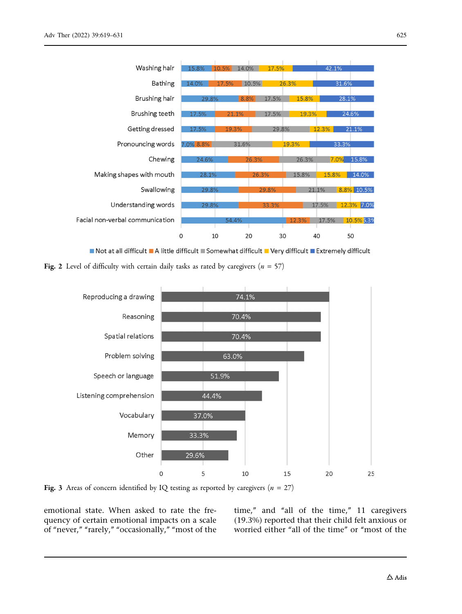<span id="page-6-0"></span>

Not at all difficult A little difficult Somewhat difficult Very difficult Extremely difficult





Fig. 3 Areas of concern identified by IQ testing as reported by caregivers ( $n = 27$ )

emotional state. When asked to rate the frequency of certain emotional impacts on a scale of "never," "rarely," "occasionally," "most of the

time," and "all of the time," 11 caregivers (19.3%) reported that their child felt anxious or worried either "all of the time" or "most of the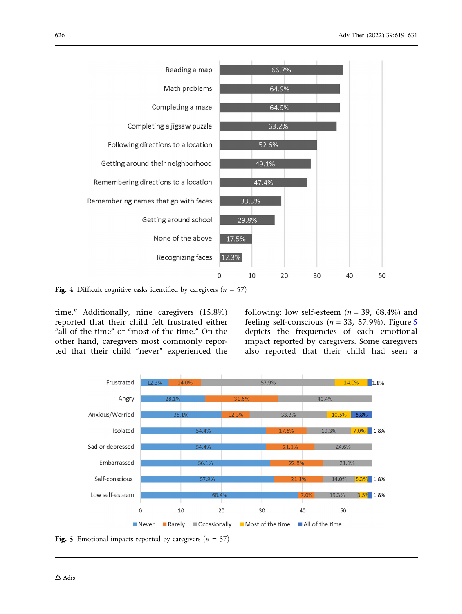<span id="page-7-0"></span>

Fig. 4 Difficult cognitive tasks identified by caregivers ( $n = 57$ )

time.'' Additionally, nine caregivers (15.8%) reported that their child felt frustrated either "all of the time" or "most of the time." On the other hand, caregivers most commonly reported that their child "never" experienced the following: low self-esteem ( $n = 39$ , 68.4%) and feeling self-conscious ( $n = 33, 57.9\%$ ). Figure 5 depicts the frequencies of each emotional impact reported by caregivers. Some caregivers also reported that their child had seen a



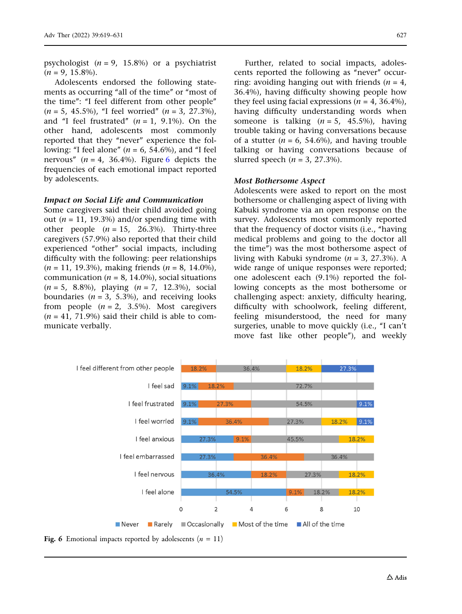psychologist  $(n = 9, 15.8%)$  or a psychiatrist  $(n = 9, 15.8\%).$ 

Adolescents endorsed the following statements as occurring "all of the time" or "most of the time'': ''I feel different from other people''  $(n = 5, 45.5\%)$ , "I feel worried"  $(n = 3, 27.3\%)$ , and "I feel frustrated"  $(n = 1, 9.1\%)$ . On the other hand, adolescents most commonly reported that they "never" experience the following: "I feel alone" ( $n = 6$ , 54.6%), and "I feel nervous"  $(n = 4, 36.4\%)$ . Figure 6 depicts the frequencies of each emotional impact reported by adolescents.

#### Impact on Social Life and Communication

Some caregivers said their child avoided going out ( $n = 11$ , 19.3%) and/or spending time with other people  $(n = 15, 26.3\%)$ . Thirty-three caregivers (57.9%) also reported that their child experienced "other" social impacts, including difficulty with the following: peer relationships  $(n = 11, 19.3\%)$ , making friends  $(n = 8, 14.0\%)$ , communication ( $n = 8$ , 14.0%), social situations  $(n = 5, 8.8\%)$ , playing  $(n = 7, 12.3\%)$ , social boundaries ( $n = 3$ , 5.3%), and receiving looks from people  $(n = 2, 3.5\%)$ . Most caregivers  $(n = 41, 71.9%)$  said their child is able to communicate verbally.

Further, related to social impacts, adolescents reported the following as ''never'' occurring: avoiding hanging out with friends  $(n = 4)$ , 36.4%), having difficulty showing people how they feel using facial expressions ( $n = 4$ , 36.4%), having difficulty understanding words when someone is talking  $(n = 5, 45.5\%)$ , having trouble taking or having conversations because of a stutter ( $n = 6$ , 54.6%), and having trouble talking or having conversations because of slurred speech ( $n = 3$ , 27.3%).

#### Most Bothersome Aspect

Adolescents were asked to report on the most bothersome or challenging aspect of living with Kabuki syndrome via an open response on the survey. Adolescents most commonly reported that the frequency of doctor visits (i.e., ''having medical problems and going to the doctor all the time'') was the most bothersome aspect of living with Kabuki syndrome ( $n = 3$ , 27.3%). A wide range of unique responses were reported; one adolescent each (9.1%) reported the following concepts as the most bothersome or challenging aspect: anxiety, difficulty hearing, difficulty with schoolwork, feeling different, feeling misunderstood, the need for many surgeries, unable to move quickly (i.e., "I can't move fast like other people''), and weekly



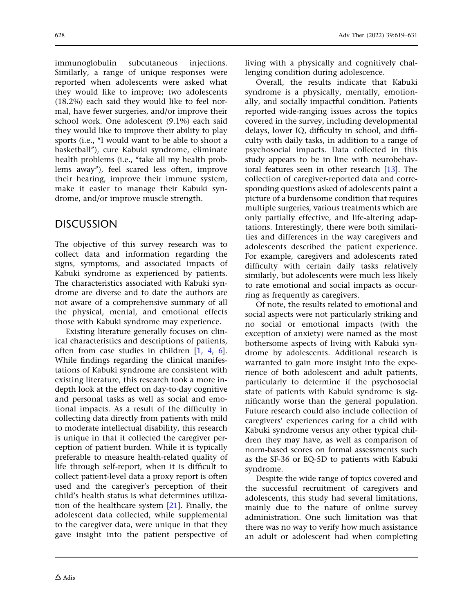immunoglobulin subcutaneous injections. Similarly, a range of unique responses were reported when adolescents were asked what they would like to improve; two adolescents (18.2%) each said they would like to feel normal, have fewer surgeries, and/or improve their school work. One adolescent (9.1%) each said they would like to improve their ability to play sports (i.e., "I would want to be able to shoot a basketball''), cure Kabuki syndrome, eliminate health problems (i.e., "take all my health problems away''), feel scared less often, improve their hearing, improve their immune system, make it easier to manage their Kabuki syndrome, and/or improve muscle strength.

# **DISCUSSION**

The objective of this survey research was to collect data and information regarding the signs, symptoms, and associated impacts of Kabuki syndrome as experienced by patients. The characteristics associated with Kabuki syndrome are diverse and to date the authors are not aware of a comprehensive summary of all the physical, mental, and emotional effects those with Kabuki syndrome may experience.

Existing literature generally focuses on clinical characteristics and descriptions of patients, often from case studies in children [\[1](#page-11-0), [4](#page-11-0), [6](#page-11-0)]. While findings regarding the clinical manifestations of Kabuki syndrome are consistent with existing literature, this research took a more indepth look at the effect on day-to-day cognitive and personal tasks as well as social and emotional impacts. As a result of the difficulty in collecting data directly from patients with mild to moderate intellectual disability, this research is unique in that it collected the caregiver perception of patient burden. While it is typically preferable to measure health-related quality of life through self-report, when it is difficult to collect patient-level data a proxy report is often used and the caregiver's perception of their child's health status is what determines utilization of the healthcare system [\[21\]](#page-12-0). Finally, the adolescent data collected, while supplemental to the caregiver data, were unique in that they gave insight into the patient perspective of living with a physically and cognitively challenging condition during adolescence.

Overall, the results indicate that Kabuki syndrome is a physically, mentally, emotionally, and socially impactful condition. Patients reported wide-ranging issues across the topics covered in the survey, including developmental delays, lower IQ, difficulty in school, and difficulty with daily tasks, in addition to a range of psychosocial impacts. Data collected in this study appears to be in line with neurobehavioral features seen in other research [[13\]](#page-12-0). The collection of caregiver-reported data and corresponding questions asked of adolescents paint a picture of a burdensome condition that requires multiple surgeries, various treatments which are only partially effective, and life-altering adaptations. Interestingly, there were both similarities and differences in the way caregivers and adolescents described the patient experience. For example, caregivers and adolescents rated difficulty with certain daily tasks relatively similarly, but adolescents were much less likely to rate emotional and social impacts as occurring as frequently as caregivers.

Of note, the results related to emotional and social aspects were not particularly striking and no social or emotional impacts (with the exception of anxiety) were named as the most bothersome aspects of living with Kabuki syndrome by adolescents. Additional research is warranted to gain more insight into the experience of both adolescent and adult patients, particularly to determine if the psychosocial state of patients with Kabuki syndrome is significantly worse than the general population. Future research could also include collection of caregivers' experiences caring for a child with Kabuki syndrome versus any other typical children they may have, as well as comparison of norm-based scores on formal assessments such as the SF-36 or EQ-5D to patients with Kabuki syndrome.

Despite the wide range of topics covered and the successful recruitment of caregivers and adolescents, this study had several limitations, mainly due to the nature of online survey administration. One such limitation was that there was no way to verify how much assistance an adult or adolescent had when completing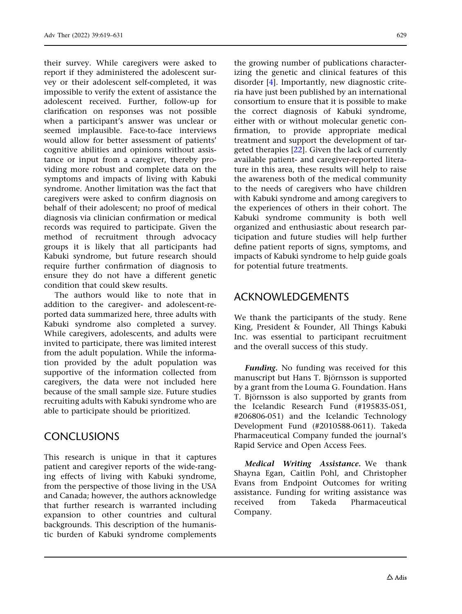their survey. While caregivers were asked to report if they administered the adolescent survey or their adolescent self-completed, it was impossible to verify the extent of assistance the adolescent received. Further, follow-up for clarification on responses was not possible when a participant's answer was unclear or seemed implausible. Face-to-face interviews would allow for better assessment of patients' cognitive abilities and opinions without assistance or input from a caregiver, thereby providing more robust and complete data on the symptoms and impacts of living with Kabuki syndrome. Another limitation was the fact that caregivers were asked to confirm diagnosis on behalf of their adolescent; no proof of medical diagnosis via clinician confirmation or medical records was required to participate. Given the method of recruitment through advocacy groups it is likely that all participants had Kabuki syndrome, but future research should require further confirmation of diagnosis to ensure they do not have a different genetic condition that could skew results.

The authors would like to note that in addition to the caregiver- and adolescent-reported data summarized here, three adults with Kabuki syndrome also completed a survey. While caregivers, adolescents, and adults were invited to participate, there was limited interest from the adult population. While the information provided by the adult population was supportive of the information collected from caregivers, the data were not included here because of the small sample size. Future studies recruiting adults with Kabuki syndrome who are able to participate should be prioritized.

### **CONCLUSIONS**

This research is unique in that it captures patient and caregiver reports of the wide-ranging effects of living with Kabuki syndrome, from the perspective of those living in the USA and Canada; however, the authors acknowledge that further research is warranted including expansion to other countries and cultural backgrounds. This description of the humanistic burden of Kabuki syndrome complements

the growing number of publications characterizing the genetic and clinical features of this disorder [[4\]](#page-11-0). Importantly, new diagnostic criteria have just been published by an international consortium to ensure that it is possible to make the correct diagnosis of Kabuki syndrome, either with or without molecular genetic confirmation, to provide appropriate medical treatment and support the development of targeted therapies [\[22\]](#page-12-0). Given the lack of currently available patient- and caregiver-reported literature in this area, these results will help to raise the awareness both of the medical community to the needs of caregivers who have children with Kabuki syndrome and among caregivers to the experiences of others in their cohort. The Kabuki syndrome community is both well organized and enthusiastic about research participation and future studies will help further define patient reports of signs, symptoms, and impacts of Kabuki syndrome to help guide goals for potential future treatments.

# ACKNOWLEDGEMENTS

We thank the participants of the study. Rene King, President & Founder, All Things Kabuki Inc. was essential to participant recruitment and the overall success of this study.

Funding. No funding was received for this manuscript but Hans T. Björnsson is supported by a grant from the Louma G. Foundation. Hans T. Björnsson is also supported by grants from the Icelandic Research Fund (#195835-051, #206806-051) and the Icelandic Technology Development Fund (#2010588-0611). Takeda Pharmaceutical Company funded the journal's Rapid Service and Open Access Fees.

Medical Writing Assistance. We thank Shayna Egan, Caitlin Pohl, and Christopher Evans from Endpoint Outcomes for writing assistance. Funding for writing assistance was received from Takeda Pharmaceutical Company.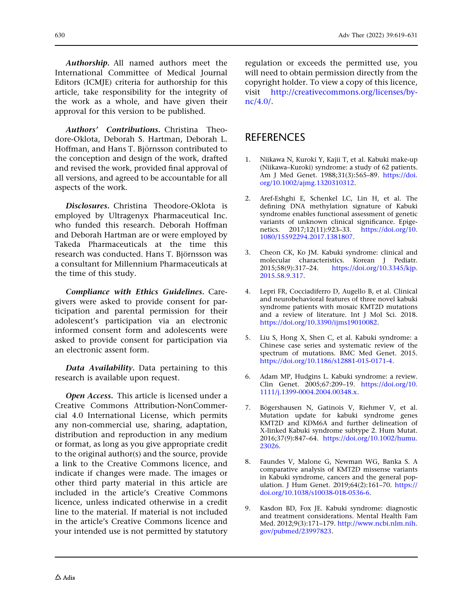<span id="page-11-0"></span>Authorship. All named authors meet the International Committee of Medical Journal Editors (ICMJE) criteria for authorship for this article, take responsibility for the integrity of the work as a whole, and have given their approval for this version to be published.

Authors' Contributions. Christina Theodore-Oklota, Deborah S. Hartman, Deborah L. Hoffman, and Hans T. Björnsson contributed to the conception and design of the work, drafted and revised the work, provided final approval of all versions, and agreed to be accountable for all aspects of the work.

Disclosures. Christina Theodore-Oklota is employed by Ultragenyx Pharmaceutical Inc. who funded this research. Deborah Hoffman and Deborah Hartman are or were employed by Takeda Pharmaceuticals at the time this research was conducted. Hans T. Björnsson was a consultant for Millennium Pharmaceuticals at the time of this study.

Compliance with Ethics Guidelines. Caregivers were asked to provide consent for participation and parental permission for their adolescent's participation via an electronic informed consent form and adolescents were asked to provide consent for participation via an electronic assent form.

Data Availability. Data pertaining to this research is available upon request.

Open Access. This article is licensed under a Creative Commons Attribution-NonCommercial 4.0 International License, which permits any non-commercial use, sharing, adaptation, distribution and reproduction in any medium or format, as long as you give appropriate credit to the original author(s) and the source, provide a link to the Creative Commons licence, and indicate if changes were made. The images or other third party material in this article are included in the article's Creative Commons licence, unless indicated otherwise in a credit line to the material. If material is not included in the article's Creative Commons licence and your intended use is not permitted by statutory regulation or exceeds the permitted use, you will need to obtain permission directly from the copyright holder. To view a copy of this licence, visit [http://creativecommons.org/licenses/by](http://creativecommons.org/licenses/by-nc/4.0/)[nc/4.0/.](http://creativecommons.org/licenses/by-nc/4.0/)

### REFERENCES

- 1. Niikawa N, Kuroki Y, Kajii T, et al. Kabuki make-up (Niikawa–Kuroki) syndrome: a study of 62 patients. Am J Med Genet. 1988;31(3):565–89. [https://doi.](https://doi.org/10.1002/ajmg.1320310312) [org/10.1002/ajmg.1320310312.](https://doi.org/10.1002/ajmg.1320310312)
- 2. Aref-Eshghi E, Schenkel LC, Lin H, et al. The defining DNA methylation signature of Kabuki syndrome enables functional assessment of genetic variants of unknown clinical significance. Epigenetics. 2017;12(11):923–33. [https://doi.org/10.](https://doi.org/10.1080/15592294.2017.1381807) [1080/15592294.2017.1381807](https://doi.org/10.1080/15592294.2017.1381807).
- 3. Cheon CK, Ko JM. Kabuki syndrome: clinical and molecular characteristics. Korean J Pediatr. 2015;58(9):317–24. [https://doi.org/10.3345/kjp.](https://doi.org/10.3345/kjp.2015.58.9.317) [2015.58.9.317](https://doi.org/10.3345/kjp.2015.58.9.317).
- 4. Lepri FR, Cocciadiferro D, Augello B, et al. Clinical and neurobehavioral features of three novel kabuki syndrome patients with mosaic KMT2D mutations and a review of literature. Int J Mol Sci. 2018. [https://doi.org/10.3390/ijms19010082.](https://doi.org/10.3390/ijms19010082)
- 5. Liu S, Hong X, Shen C, et al. Kabuki syndrome: a Chinese case series and systematic review of the spectrum of mutations. BMC Med Genet. 2015. [https://doi.org/10.1186/s12881-015-0171-4.](https://doi.org/10.1186/s12881-015-0171-4)
- 6. Adam MP, Hudgins L. Kabuki syndrome: a review. Clin Genet. 2005;67:209–19. [https://doi.org/10.](https://doi.org/10.1111/j.1399-0004.2004.00348.x) [1111/j.1399-0004.2004.00348.x.](https://doi.org/10.1111/j.1399-0004.2004.00348.x)
- 7. Bögershausen N, Gatinois V, Riehmer V, et al. Mutation update for kabuki syndrome genes KMT2D and KDM6A and further delineation of X-linked Kabuki syndrome subtype 2. Hum Mutat. 2016;37(9):847–64. [https://doi.org/10.1002/humu.](https://doi.org/10.1002/humu.23026) [23026](https://doi.org/10.1002/humu.23026).
- 8. Faundes V, Malone G, Newman WG, Banka S. A comparative analysis of KMT2D missense variants in Kabuki syndrome, cancers and the general population. J Hum Genet. 2019;64(2):161–70. [https://](https://doi.org/10.1038/s10038-018-0536-6) [doi.org/10.1038/s10038-018-0536-6](https://doi.org/10.1038/s10038-018-0536-6).
- 9. Kasdon BD, Fox JE. Kabuki syndrome: diagnostic and treatment considerations. Mental Health Fam Med. 2012;9(3):171–179. [http://www.ncbi.nlm.nih.](http://www.ncbi.nlm.nih.gov/pubmed/23997823) [gov/pubmed/23997823.](http://www.ncbi.nlm.nih.gov/pubmed/23997823)